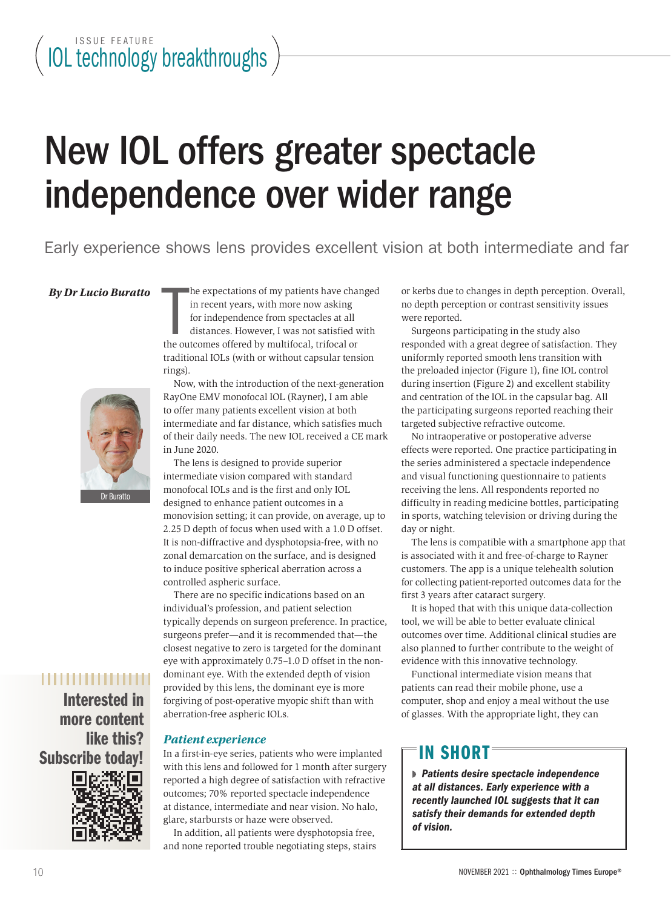# New IOL offers greater spectacle independence over wider range

Early experience shows lens provides excellent vision at both intermediate and far

#### $Bv$  *Dr Lucio Buratto*

Dr Buratto

## ,,,,,,,,,,,,,,,

Interested in more content like this? Subscribe today!



he expectations of my patients have changed in recent years, with more now asking for independence from spectacles at all distances. However, I was not satisfied with the outcomes offered by multifocal, trifocal or traditional IOLs (with or without capsular tension rings).

Now, with the introduction of the next-generation RayOne EMV monofocal IOL (Rayner), I am able to offer many patients excellent vision at both intermediate and far distance, which satisfies much of their daily needs. The new IOL received a CE mark in June 2020.

The lens is designed to provide superior intermediate vision compared with standard monofocal IOLs and is the first and only IOL designed to enhance patient outcomes in a monovision setting; it can provide, on average, up to 2.25 D depth of focus when used with a 1.0 D offset. It is non-diffractive and dysphotopsia-free, with no zonal demarcation on the surface, and is designed to induce positive spherical aberration across a controlled aspheric surface.

There are no specific indications based on an individual's profession, and patient selection typically depends on surgeon preference. In practice, surgeons prefer—and it is recommended that—the closest negative to zero is targeted for the dominant eye with approximately 0.75–1.0 D offset in the nondominant eye. With the extended depth of vision provided by this lens, the dominant eye is more forgiving of post-operative myopic shift than with aberration-free aspheric IOLs.

#### *Patient experience*

In a first-in-eye series, patients who were implanted with this lens and followed for 1 month after surgery reported a high degree of satisfaction with refractive outcomes; 70% reported spectacle independence at distance, intermediate and near vision. No halo, glare, starbursts or haze were observed.

In addition, all patients were dysphotopsia free, and none reported trouble negotiating steps, stairs or kerbs due to changes in depth perception. Overall, no depth perception or contrast sensitivity issues were reported.

Surgeons participating in the study also responded with a great degree of satisfaction. They uniformly reported smooth lens transition with the preloaded injector (Figure 1), fine IOL control during insertion (Figure 2) and excellent stability and centration of the IOL in the capsular bag. All the participating surgeons reported reaching their targeted subjective refractive outcome.

No intraoperative or postoperative adverse effects were reported. One practice participating in the series administered a spectacle independence and visual functioning questionnaire to patients receiving the lens. All respondents reported no difficulty in reading medicine bottles, participating in sports, watching television or driving during the day or night.

The lens is compatible with a smartphone app that is associated with it and free-of-charge to Rayner customers. The app is a unique telehealth solution for collecting patient-reported outcomes data for the first 3 years after cataract surgery.

It is hoped that with this unique data-collection tool, we will be able to better evaluate clinical outcomes over time. Additional clinical studies are also planned to further contribute to the weight of evidence with this innovative technology.

Functional intermediate vision means that patients can read their mobile phone, use a computer, shop and enjoy a meal without the use of glasses. With the appropriate light, they can

# IN SHORT

 *Patients desire spectacle independence at all distances. Early experience with a recently launched IOL suggests that it can satisfy their demands for extended depth of vision.*